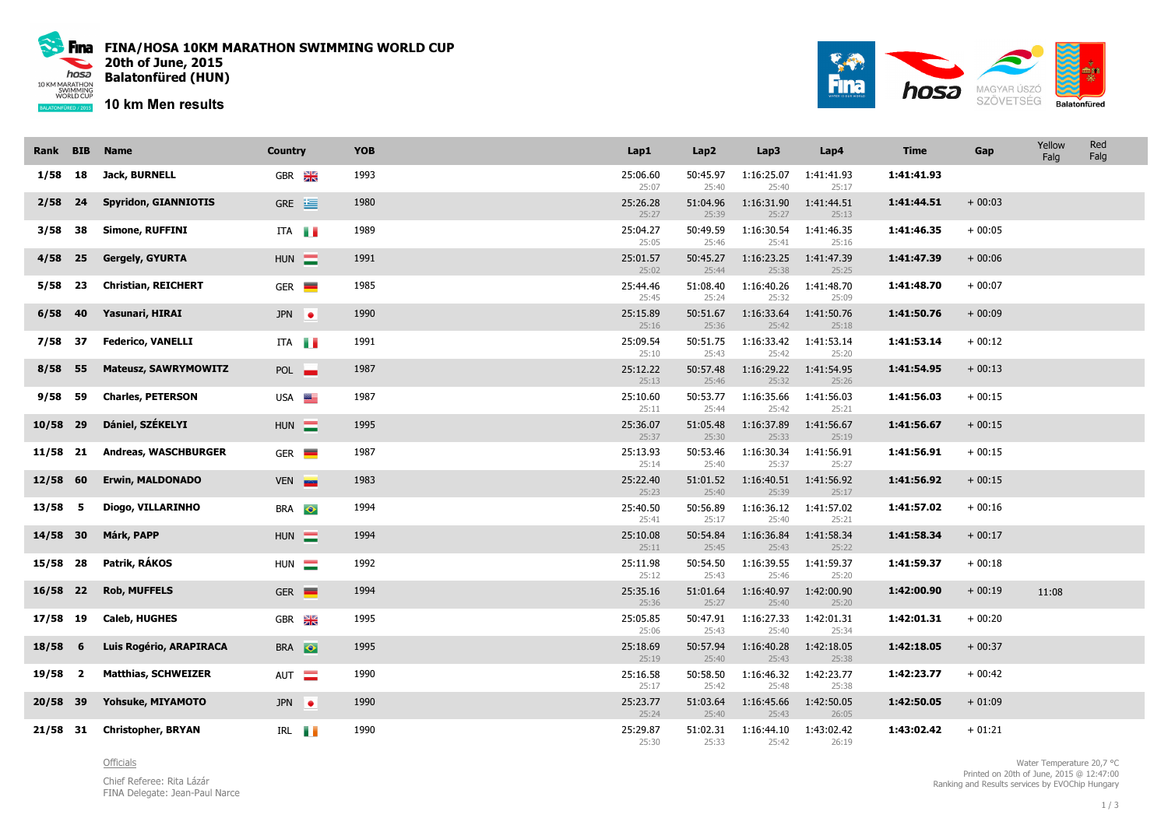

Fina FINA/HOSA 10KM MARATHON SWIMMING WORLD CUP 20th of June, 2015 Balatonfüred (HUN)

10 km Men results



| Rank      | <b>BIB</b> | <b>Name</b>                 | <b>Country</b>          | <b>YOB</b> | Lap1              | Lap2              | Lap3                | Lap4                | <b>Time</b> | Gap      | Yellow<br>Falg | Red<br>Falg |
|-----------|------------|-----------------------------|-------------------------|------------|-------------------|-------------------|---------------------|---------------------|-------------|----------|----------------|-------------|
| 1/58      | 18         | Jack, BURNELL               | GBR <b>X</b>            | 1993       | 25:06.60<br>25:07 | 50:45.97<br>25:40 | 1:16:25.07<br>25:40 | 1:41:41.93<br>25:17 | 1:41:41.93  |          |                |             |
| 2/58      | 24         | <b>Spyridon, GIANNIOTIS</b> | $GRE \equiv$            | 1980       | 25:26.28<br>25:27 | 51:04.96<br>25:39 | 1:16:31.90<br>25:27 | 1:41:44.51<br>25:13 | 1:41:44.51  | $+00:03$ |                |             |
| 3/58      | 38         | <b>Simone, RUFFINI</b>      | ITA                     | 1989       | 25:04.27<br>25:05 | 50:49.59<br>25:46 | 1:16:30.54<br>25:41 | 1:41:46.35<br>25:16 | 1:41:46.35  | $+00:05$ |                |             |
| 4/58      | 25         | <b>Gergely, GYURTA</b>      | $HUN$ $\blacksquare$    | 1991       | 25:01.57<br>25:02 | 50:45.27<br>25:44 | 1:16:23.25<br>25:38 | 1:41:47.39<br>25:25 | 1:41:47.39  | $+00:06$ |                |             |
| 5/58      | 23         | <b>Christian, REICHERT</b>  | $GER$ $\blacksquare$    | 1985       | 25:44.46<br>25:45 | 51:08.40<br>25:24 | 1:16:40.26<br>25:32 | 1:41:48.70<br>25:09 | 1:41:48.70  | $+00:07$ |                |             |
| 6/58      | -40        | Yasunari, HIRAI             | JPN $\bullet$           | 1990       | 25:15.89<br>25:16 | 50:51.67<br>25:36 | 1:16:33.64<br>25:42 | 1:41:50.76<br>25:18 | 1:41:50.76  | $+00:09$ |                |             |
| 7/58      | -37        | <b>Federico, VANELLI</b>    | ITA                     | 1991       | 25:09.54<br>25:10 | 50:51.75<br>25:43 | 1:16:33.42<br>25:42 | 1:41:53.14<br>25:20 | 1:41:53.14  | $+00:12$ |                |             |
| 8/58      | - 55       | <b>Mateusz, SAWRYMOWITZ</b> | POL <sub>1</sub>        | 1987       | 25:12.22<br>25:13 | 50:57.48<br>25:46 | 1:16:29.22<br>25:32 | 1:41:54.95<br>25:26 | 1:41:54.95  | $+00:13$ |                |             |
| 9/58      | 59         | <b>Charles, PETERSON</b>    | USA <b>EXAMPLE</b>      | 1987       | 25:10.60<br>25:11 | 50:53.77<br>25:44 | 1:16:35.66<br>25:42 | 1:41:56.03<br>25:21 | 1:41:56.03  | $+00:15$ |                |             |
| 10/58 29  |            | Dániel, SZÉKELYI            | $HUN \equiv$            | 1995       | 25:36.07<br>25:37 | 51:05.48<br>25:30 | 1:16:37.89<br>25:33 | 1:41:56.67<br>25:19 | 1:41:56.67  | $+00:15$ |                |             |
| 11/58 21  |            | <b>Andreas, WASCHBURGER</b> | $GER$ $\blacksquare$    | 1987       | 25:13.93<br>25:14 | 50:53.46<br>25:40 | 1:16:30.34<br>25:37 | 1:41:56.91<br>25:27 | 1:41:56.91  | $+00:15$ |                |             |
| 12/58 60  |            | <b>Erwin, MALDONADO</b>     | VEN <b>EXI</b>          | 1983       | 25:22.40<br>25:23 | 51:01.52<br>25:40 | 1:16:40.51<br>25:39 | 1:41:56.92<br>25:17 | 1:41:56.92  | $+00:15$ |                |             |
| $13/58$ 5 |            | Diogo, VILLARINHO           | BRA <sup>o</sup>        | 1994       | 25:40.50<br>25:41 | 50:56.89<br>25:17 | 1:16:36.12<br>25:40 | 1:41:57.02<br>25:21 | 1:41:57.02  | $+00:16$ |                |             |
| 14/58 30  |            | Márk, PAPP                  | HUN $\equiv$            | 1994       | 25:10.08<br>25:11 | 50:54.84<br>25:45 | 1:16:36.84<br>25:43 | 1:41:58.34<br>25:22 | 1:41:58.34  | $+00:17$ |                |             |
| 15/58 28  |            | Patrik, RÁKOS               | HUN <b>N</b>            | 1992       | 25:11.98<br>25:12 | 50:54.50<br>25:43 | 1:16:39.55<br>25:46 | 1:41:59.37<br>25:20 | 1:41:59.37  | $+00:18$ |                |             |
| 16/58 22  |            | <b>Rob, MUFFELS</b>         | $GER =$                 | 1994       | 25:35.16<br>25:36 | 51:01.64<br>25:27 | 1:16:40.97<br>25:40 | 1:42:00.90<br>25:20 | 1:42:00.90  | $+00:19$ | 11:08          |             |
| 17/58 19  |            | Caleb, HUGHES               | $GBR$ $\frac{912}{215}$ | 1995       | 25:05.85<br>25:06 | 50:47.91<br>25:43 | 1:16:27.33<br>25:40 | 1:42:01.31<br>25:34 | 1:42:01.31  | $+00:20$ |                |             |
| $18/58$ 6 |            | Luis Rogério, ARAPIRACA     | BRA <sup>O</sup>        | 1995       | 25:18.69<br>25:19 | 50:57.94<br>25:40 | 1:16:40.28<br>25:43 | 1:42:18.05<br>25:38 | 1:42:18.05  | $+00:37$ |                |             |
| $19/58$ 2 |            | <b>Matthias, SCHWEIZER</b>  | AUT <b>E</b>            | 1990       | 25:16.58<br>25:17 | 50:58.50<br>25:42 | 1:16:46.32<br>25:48 | 1:42:23.77<br>25:38 | 1:42:23.77  | $+00:42$ |                |             |
| 20/58 39  |            | Yohsuke, MIYAMOTO           | JPN $\bullet$           | 1990       | 25:23.77<br>25:24 | 51:03.64<br>25:40 | 1:16:45.66<br>25:43 | 1:42:50.05<br>26:05 | 1:42:50.05  | $+01:09$ |                |             |
| 21/58 31  |            | <b>Christopher, BRYAN</b>   | IRL <b>I</b>            | 1990       | 25:29.87<br>25:30 | 51:02.31<br>25:33 | 1:16:44.10<br>25:42 | 1:43:02.42<br>26:19 | 1:43:02.42  | $+01:21$ |                |             |

## **Officials**

Chief Referee: Rita LázárFINA Delegate: Jean-Paul Narce

Water Temperature 20,7 °C Printed on 20th of June, 2015 @ 12:47:00Ranking and Results services by EVOChip Hungary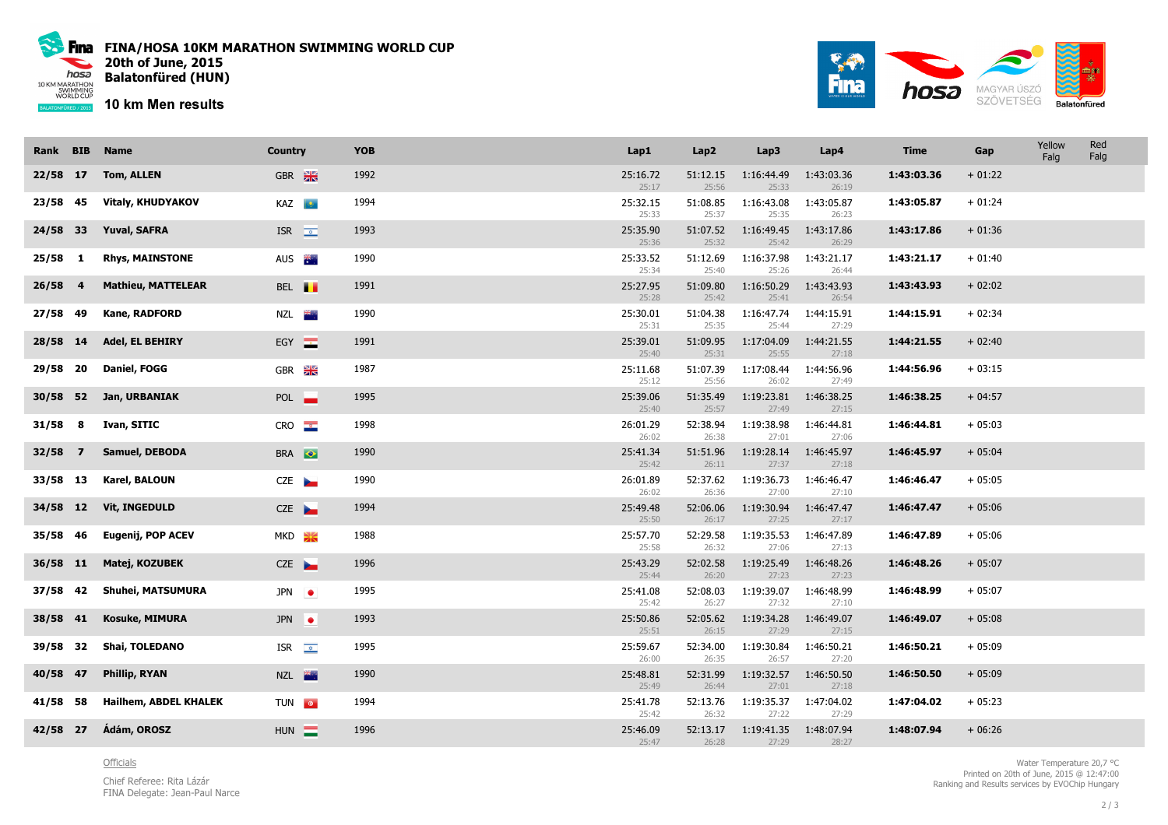

Fina FINA/HOSA 10KM MARATHON SWIMMING WORLD CUP 20th of June, 2015 Balatonfüred (HUN)

10 km Men results



| Rank BIB  | <b>Name</b>                  | <b>Country</b>           | <b>YOB</b> | Lap1              | Lap2              | Lap3                | Lap4                | <b>Time</b> | Gap      | Yellow<br>Falg | Red<br>Falg |
|-----------|------------------------------|--------------------------|------------|-------------------|-------------------|---------------------|---------------------|-------------|----------|----------------|-------------|
| 22/58 17  | <b>Tom, ALLEN</b>            | GBR <b>XX</b>            | 1992       | 25:16.72<br>25:17 | 51:12.15<br>25:56 | 1:16:44.49<br>25:33 | 1:43:03.36<br>26:19 | 1:43:03.36  | $+01:22$ |                |             |
| 23/58 45  | <b>Vitaly, KHUDYAKOV</b>     | <b>KAZ</b>               | 1994       | 25:32.15<br>25:33 | 51:08.85<br>25:37 | 1:16:43.08<br>25:35 | 1:43:05.87<br>26:23 | 1:43:05.87  | $+01:24$ |                |             |
| 24/58 33  | <b>Yuval, SAFRA</b>          | ISR $\overline{\bullet}$ | 1993       | 25:35.90<br>25:36 | 51:07.52<br>25:32 | 1:16:49.45<br>25:42 | 1:43:17.86<br>26:29 | 1:43:17.86  | $+01:36$ |                |             |
| $25/58$ 1 | <b>Rhys, MAINSTONE</b>       | AUS 茶                    | 1990       | 25:33.52<br>25:34 | 51:12.69<br>25:40 | 1:16:37.98<br>25:26 | 1:43:21.17<br>26:44 | 1:43:21.17  | $+01:40$ |                |             |
| $26/58$ 4 | <b>Mathieu, MATTELEAR</b>    | BEL <b>II</b>            | 1991       | 25:27.95<br>25:28 | 51:09.80<br>25:42 | 1:16:50.29<br>25:41 | 1:43:43.93<br>26:54 | 1:43:43.93  | $+02:02$ |                |             |
| 27/58 49  | Kane, RADFORD                | NZL <b>ik</b>            | 1990       | 25:30.01<br>25:31 | 51:04.38<br>25:35 | 1:16:47.74<br>25:44 | 1:44:15.91<br>27:29 | 1:44:15.91  | $+02:34$ |                |             |
| 28/58 14  | Adel, EL BEHIRY              | EGY <b>E</b>             | 1991       | 25:39.01<br>25:40 | 51:09.95<br>25:31 | 1:17:04.09<br>25:55 | 1:44:21.55<br>27:18 | 1:44:21.55  | $+02:40$ |                |             |
| 29/58 20  | Daniel, FOGG                 | GBR <b>X</b>             | 1987       | 25:11.68<br>25:12 | 51:07.39<br>25:56 | 1:17:08.44<br>26:02 | 1:44:56.96<br>27:49 | 1:44:56.96  | $+03:15$ |                |             |
| 30/58 52  | Jan, URBANIAK                | POL <b>I</b>             | 1995       | 25:39.06<br>25:40 | 51:35.49<br>25:57 | 1:19:23.81<br>27:49 | 1:46:38.25<br>27:15 | 1:46:38.25  | $+04:57$ |                |             |
| $31/58$ 8 | Ivan, SITIC                  | CRO                      | 1998       | 26:01.29<br>26:02 | 52:38.94<br>26:38 | 1:19:38.98<br>27:01 | 1:46:44.81<br>27:06 | 1:46:44.81  | $+05:03$ |                |             |
| 32/58 7   | Samuel, DEBODA               | BRA <sup>O</sup>         | 1990       | 25:41.34<br>25:42 | 51:51.96<br>26:11 | 1:19:28.14<br>27:37 | 1:46:45.97<br>27:18 | 1:46:45.97  | $+05:04$ |                |             |
| 33/58 13  | Karel, BALOUN                | CZE                      | 1990       | 26:01.89<br>26:02 | 52:37.62<br>26:36 | 1:19:36.73<br>27:00 | 1:46:46.47<br>27:10 | 1:46:46.47  | $+05:05$ |                |             |
| 34/58 12  | <b>Vit, INGEDULD</b>         | CZE                      | 1994       | 25:49.48<br>25:50 | 52:06.06<br>26:17 | 1:19:30.94<br>27:25 | 1:46:47.47<br>27:17 | 1:46:47.47  | $+05:06$ |                |             |
| 35/58 46  | Eugenij, POP ACEV            | $MKD \geq $              | 1988       | 25:57.70<br>25:58 | 52:29.58<br>26:32 | 1:19:35.53<br>27:06 | 1:46:47.89<br>27:13 | 1:46:47.89  | $+05:06$ |                |             |
| 36/58 11  | Matej, KOZUBEK               | CZE                      | 1996       | 25:43.29<br>25:44 | 52:02.58<br>26:20 | 1:19:25.49<br>27:23 | 1:46:48.26<br>27:23 | 1:46:48.26  | $+05:07$ |                |             |
| 37/58 42  | <b>Shuhei, MATSUMURA</b>     | $JPN$ $\bullet$          | 1995       | 25:41.08<br>25:42 | 52:08.03<br>26:27 | 1:19:39.07<br>27:32 | 1:46:48.99<br>27:10 | 1:46:48.99  | $+05:07$ |                |             |
| 38/58 41  | <b>Kosuke, MIMURA</b>        | $JPN$ $\bullet$          | 1993       | 25:50.86<br>25:51 | 52:05.62<br>26:15 | 1:19:34.28<br>27:29 | 1:46:49.07<br>27:15 | 1:46:49.07  | $+05:08$ |                |             |
| 39/58 32  | <b>Shai, TOLEDANO</b>        | ISR $\sqrt{2}$           | 1995       | 25:59.67<br>26:00 | 52:34.00<br>26:35 | 1:19:30.84<br>26:57 | 1:46:50.21<br>27:20 | 1:46:50.21  | $+05:09$ |                |             |
| 40/58 47  | <b>Phillip, RYAN</b>         | NZL <b>X</b>             | 1990       | 25:48.81<br>25:49 | 52:31.99<br>26:44 | 1:19:32.57<br>27:01 | 1:46:50.50<br>27:18 | 1:46:50.50  | $+05:09$ |                |             |
| 41/58 58  | <b>Hailhem, ABDEL KHALEK</b> | TUN <b>O</b>             | 1994       | 25:41.78<br>25:42 | 52:13.76<br>26:32 | 1:19:35.37<br>27:22 | 1:47:04.02<br>27:29 | 1:47:04.02  | $+05:23$ |                |             |
| 42/58 27  | Ádám, OROSZ                  | $HUN =$                  | 1996       | 25:46.09<br>25:47 | 52:13.17<br>26:28 | 1:19:41.35<br>27:29 | 1:48:07.94<br>28:27 | 1:48:07.94  | $+06:26$ |                |             |

## **Officials**

Chief Referee: Rita LázárFINA Delegate: Jean-Paul Narce

Water Temperature 20,7 °C Printed on 20th of June, 2015 @ 12:47:00Ranking and Results services by EVOChip Hungary